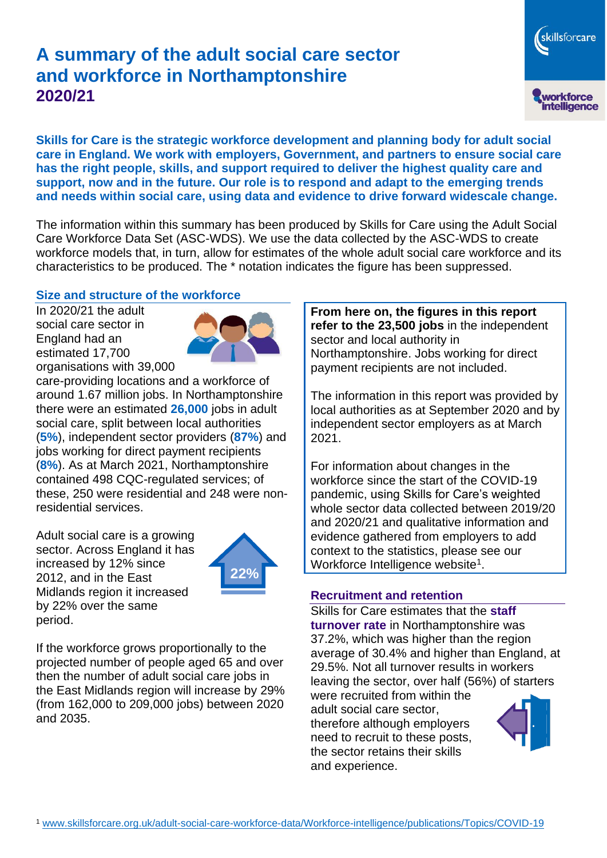# **A summary of the adult social care sector and workforce in Northamptonshire 2020/21**

skillsforcare workforce<br>intelligence

**Skills for Care is the strategic workforce development and planning body for adult social care in England. We work with employers, Government, and partners to ensure social care has the right people, skills, and support required to deliver the highest quality care and support, now and in the future. Our role is to respond and adapt to the emerging trends and needs within social care, using data and evidence to drive forward widescale change.**

The information within this summary has been produced by Skills for Care using the Adult Social Care Workforce Data Set (ASC-WDS). We use the data collected by the ASC-WDS to create workforce models that, in turn, allow for estimates of the whole adult social care workforce and its characteristics to be produced. The \* notation indicates the figure has been suppressed.

### **Size and structure of the workforce**

In 2020/21 the adult social care sector in England had an estimated 17,700 organisations with 39,000



care-providing locations and a workforce of around 1.67 million jobs. In Northamptonshire there were an estimated **26,000** jobs in adult social care, split between local authorities (**5%**), independent sector providers (**87%**) and jobs working for direct payment recipients (**8%**). As at March 2021, Northamptonshire contained 498 CQC-regulated services; of these, 250 were residential and 248 were nonresidential services.

Adult social care is a growing sector. Across England it has increased by 12% since 2012, and in the East Midlands region it increased by 22% over the same period.



If the workforce grows proportionally to the projected number of people aged 65 and over then the number of adult social care jobs in the East Midlands region will increase by 29% (from 162,000 to 209,000 jobs) between 2020 and 2035.

**From here on, the figures in this report refer to the 23,500 jobs** in the independent sector and local authority in Northamptonshire. Jobs working for direct payment recipients are not included.

The information in this report was provided by local authorities as at September 2020 and by independent sector employers as at March 2021.

For information about changes in the workforce since the start of the COVID-19 pandemic, using Skills for Care's weighted whole sector data collected between 2019/20 and 2020/21 and qualitative information and evidence gathered from employers to add context to the statistics, please see our Workforce Intelligence website<sup>1</sup>.

#### **Recruitment and retention**

Skills for Care estimates that the **staff turnover rate** in Northamptonshire was 37.2%, which was higher than the region average of 30.4% and higher than England, at 29.5%. Not all turnover results in workers leaving the sector, over half (56%) of starters

were recruited from within the adult social care sector, therefore although employers need to recruit to these posts, the sector retains their skills and experience.

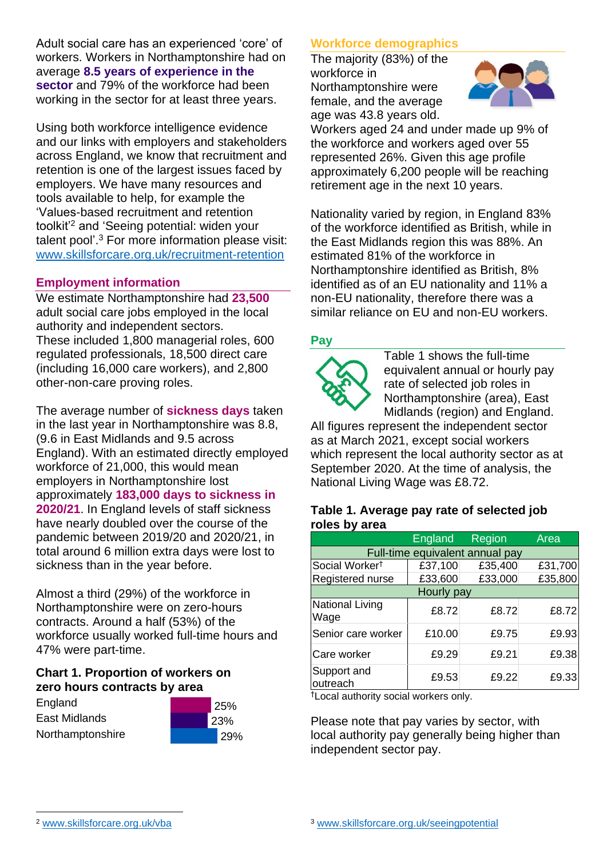Adult social care has an experienced 'core' of workers. Workers in Northamptonshire had on average **8.5 years of experience in the sector** and 79% of the workforce had been working in the sector for at least three years.

Using both workforce intelligence evidence and our links with employers and stakeholders across England, we know that recruitment and retention is one of the largest issues faced by employers. We have many resources and tools available to help, for example the 'Values-based recruitment and retention toolkit'<sup>2</sup> and 'Seeing potential: widen your talent pool'. <sup>3</sup> For more information please visit: [www.skillsforcare.org.uk/recruitment-retention](http://www.skillsforcare.org.uk/recruitment-retention)

#### **Employment information**

We estimate Northamptonshire had **23,500** adult social care jobs employed in the local authority and independent sectors. These included 1,800 managerial roles, 600 regulated professionals, 18,500 direct care (including 16,000 care workers), and 2,800 other-non-care proving roles.

The average number of **sickness days** taken in the last year in Northamptonshire was 8.8, (9.6 in East Midlands and 9.5 across England). With an estimated directly employed workforce of 21,000, this would mean employers in Northamptonshire lost approximately **183,000 days to sickness in 2020/21**. In England levels of staff sickness have nearly doubled over the course of the pandemic between 2019/20 and 2020/21, in total around 6 million extra days were lost to sickness than in the year before.

Almost a third (29%) of the workforce in Northamptonshire were on zero-hours contracts. Around a half (53%) of the workforce usually worked full-time hours and 47% were part-time.

#### **Chart 1. Proportion of workers on zero hours contracts by area**

**England** East Midlands Northamptonshire



### **Workforce demographics**

The majority (83%) of the workforce in Northamptonshire were female, and the average age was 43.8 years old.



Workers aged 24 and under made up 9% of the workforce and workers aged over 55 represented 26%. Given this age profile approximately 6,200 people will be reaching retirement age in the next 10 years.

Nationality varied by region, in England 83% of the workforce identified as British, while in the East Midlands region this was 88%. An estimated 81% of the workforce in Northamptonshire identified as British, 8% identified as of an EU nationality and 11% a non-EU nationality, therefore there was a similar reliance on EU and non-EU workers.

### **Pay**



Table 1 shows the full-time equivalent annual or hourly pay rate of selected job roles in Northamptonshire (area), East Midlands (region) and England.

All figures represent the independent sector as at March 2021, except social workers which represent the local authority sector as at September 2020. At the time of analysis, the National Living Wage was £8.72.

#### **Table 1. Average pay rate of selected job roles by area**

|                                 | <b>England</b> | Region  | Area    |
|---------------------------------|----------------|---------|---------|
| Full-time equivalent annual pay |                |         |         |
| Social Worker <sup>t</sup>      | £37,100        | £35,400 | £31,700 |
| Registered nurse                | £33,600        | £33,000 | £35,800 |
| Hourly pay                      |                |         |         |
| National Living<br>Wage         | £8.72          | £8.72   | £8.72   |
| Senior care worker              | £10.00         | £9.75   | £9.93   |
| Care worker                     | £9.29          | £9.21   | £9.38   |
| Support and<br>outreach         | £9.53          | £9.22   | £9.33   |

†Local authority social workers only.

Please note that pay varies by sector, with local authority pay generally being higher than independent sector pay.

[www.skillsforcare.org.uk/vba](http://www.skillsforcare.org.uk/vba)